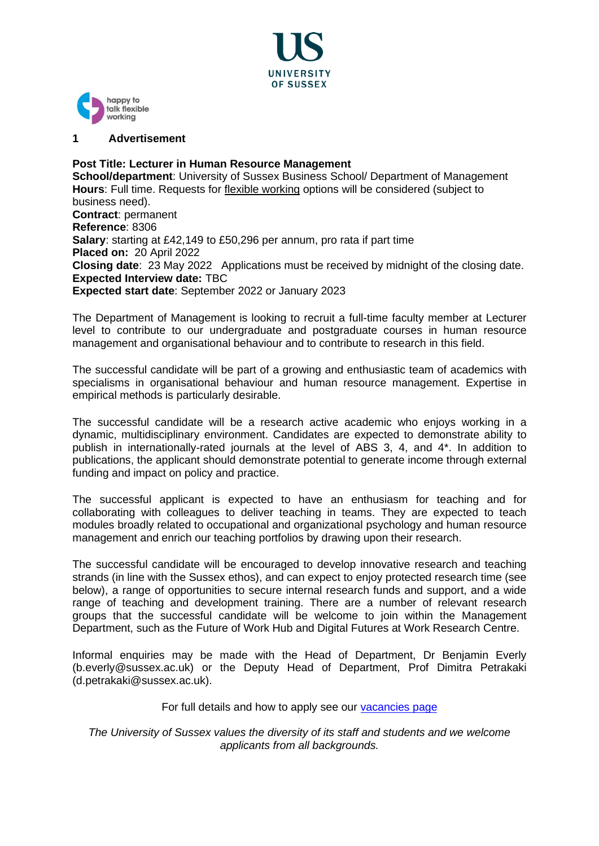



#### **1 Advertisement**

**Post Title: Lecturer in Human Resource Management School/department**: University of Sussex Business School/ Department of Management **Hours**: Full time. Requests for [flexible working](http://www.sussex.ac.uk/humanresources/personnel/flexible-working) options will be considered (subject to business need). **Contract**: permanent **Reference**: 8306 **Salary**: starting at £42,149 to £50,296 per annum, pro rata if part time **Placed on:** 20 April 2022 **Closing date**: 23 May 2022 Applications must be received by midnight of the closing date. **Expected Interview date:** TBC **Expected start date**: September 2022 or January 2023

The Department of Management is looking to recruit a full-time faculty member at Lecturer level to contribute to our undergraduate and postgraduate courses in human resource management and organisational behaviour and to contribute to research in this field.

The successful candidate will be part of a growing and enthusiastic team of academics with specialisms in organisational behaviour and human resource management. Expertise in empirical methods is particularly desirable.

The successful candidate will be a research active academic who enjoys working in a dynamic, multidisciplinary environment. Candidates are expected to demonstrate ability to publish in internationally-rated journals at the level of ABS 3, 4, and 4\*. In addition to publications, the applicant should demonstrate potential to generate income through external funding and impact on policy and practice.

The successful applicant is expected to have an enthusiasm for teaching and for collaborating with colleagues to deliver teaching in teams. They are expected to teach modules broadly related to occupational and organizational psychology and human resource management and enrich our teaching portfolios by drawing upon their research.

The successful candidate will be encouraged to develop innovative research and teaching strands (in line with the Sussex ethos), and can expect to enjoy protected research time (see below), a range of opportunities to secure internal research funds and support, and a wide range of teaching and development training. There are a number of relevant research groups that the successful candidate will be welcome to join within the Management Department, such as the Future of Work Hub and Digital Futures at Work Research Centre.

Informal enquiries may be made with the Head of Department, Dr Benjamin Everly (b.everly@sussex.ac.uk) or the Deputy Head of Department, Prof Dimitra Petrakaki (d.petrakaki@sussex.ac.uk).

#### For full details and how to apply see our [vacancies page](http://www.sussex.ac.uk/about/jobs)

*The University of Sussex values the diversity of its staff and students and we welcome applicants from all backgrounds.*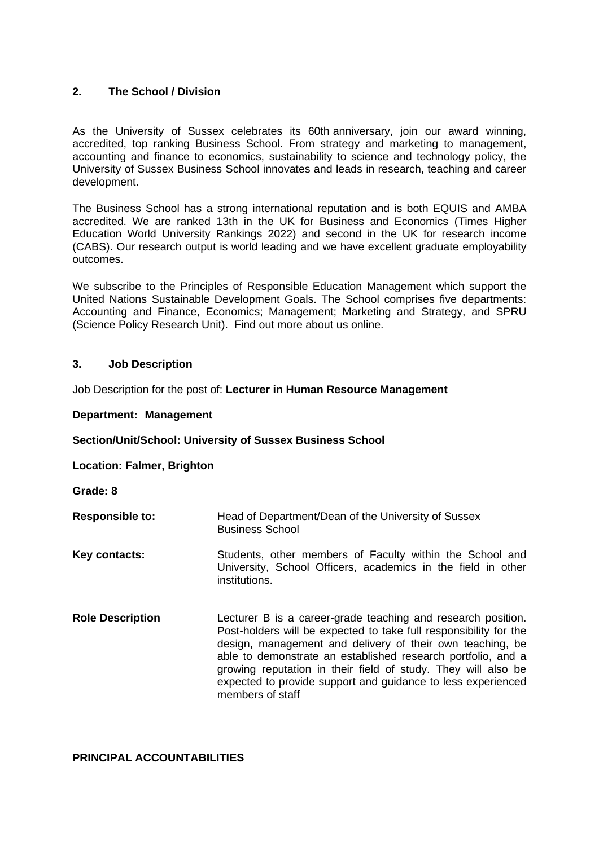# **2. The School / Division**

As the University of Sussex celebrates its 60th anniversary, join our award winning, accredited, top ranking Business School. From strategy and marketing to management, accounting and finance to economics, sustainability to science and technology policy, the University of Sussex Business School innovates and leads in research, teaching and career development.

The Business School has a strong international reputation and is both EQUIS and AMBA accredited. We are ranked 13th in the UK for Business and Economics (Times Higher Education World University Rankings 2022) and second in the UK for research income (CABS). Our research output is world leading and we have excellent graduate employability outcomes.

We subscribe to the Principles of Responsible Education Management which support the United Nations Sustainable Development Goals. The School comprises five departments: Accounting and Finance, Economics; Management; Marketing and Strategy, and SPRU (Science Policy Research Unit). Find out more about us [online.](https://www.sussex.ac.uk/business-school/)

### **3. Job Description**

Job Description for the post of: **Lecturer in Human Resource Management**

#### **Department: Management**

#### **Section/Unit/School: University of Sussex Business School**

**Location: Falmer, Brighton**

**Grade: 8**

- **Responsible to:** Head of Department/Dean of the University of Sussex Business School
- **Key contacts:** Students, other members of Faculty within the School and University, School Officers, academics in the field in other institutions.
- **Role Description** Lecturer B is a career-grade teaching and research position. Post-holders will be expected to take full responsibility for the design, management and delivery of their own teaching, be able to demonstrate an established research portfolio, and a growing reputation in their field of study. They will also be expected to provide support and guidance to less experienced members of staff

# **PRINCIPAL ACCOUNTABILITIES**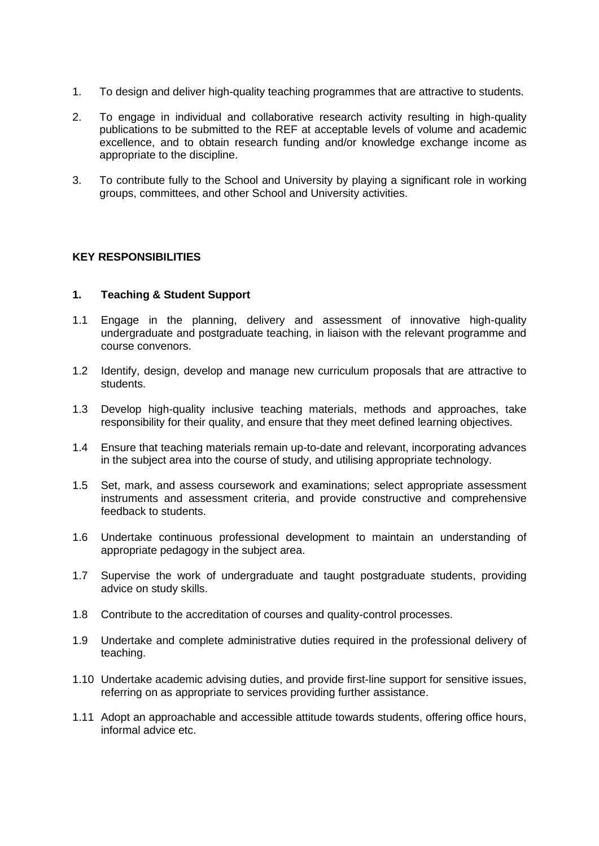- 1. To design and deliver high-quality teaching programmes that are attractive to students.
- 2. To engage in individual and collaborative research activity resulting in high-quality publications to be submitted to the REF at acceptable levels of volume and academic excellence, and to obtain research funding and/or knowledge exchange income as appropriate to the discipline.
- 3. To contribute fully to the School and University by playing a significant role in working groups, committees, and other School and University activities.

# **KEY RESPONSIBILITIES**

### **1. Teaching & Student Support**

- 1.1 Engage in the planning, delivery and assessment of innovative high-quality undergraduate and postgraduate teaching, in liaison with the relevant programme and course convenors.
- 1.2 Identify, design, develop and manage new curriculum proposals that are attractive to students.
- 1.3 Develop high-quality inclusive teaching materials, methods and approaches, take responsibility for their quality, and ensure that they meet defined learning objectives.
- 1.4 Ensure that teaching materials remain up-to-date and relevant, incorporating advances in the subject area into the course of study, and utilising appropriate technology.
- 1.5 Set, mark, and assess coursework and examinations; select appropriate assessment instruments and assessment criteria, and provide constructive and comprehensive feedback to students.
- 1.6 Undertake continuous professional development to maintain an understanding of appropriate pedagogy in the subject area.
- 1.7 Supervise the work of undergraduate and taught postgraduate students, providing advice on study skills.
- 1.8 Contribute to the accreditation of courses and quality-control processes.
- 1.9 Undertake and complete administrative duties required in the professional delivery of teaching.
- 1.10 Undertake academic advising duties, and provide first-line support for sensitive issues, referring on as appropriate to services providing further assistance.
- 1.11 Adopt an approachable and accessible attitude towards students, offering office hours, informal advice etc.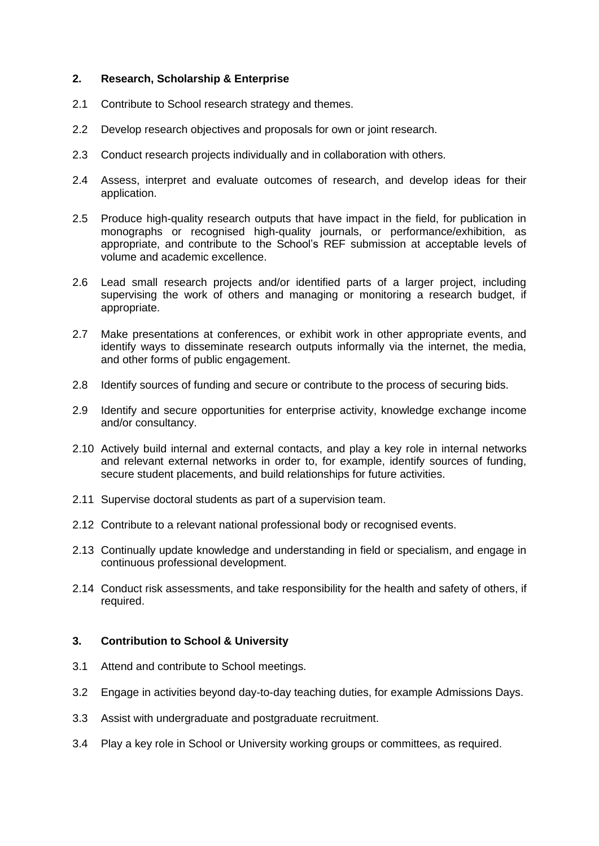### **2. Research, Scholarship & Enterprise**

- 2.1 Contribute to School research strategy and themes.
- 2.2 Develop research objectives and proposals for own or joint research.
- 2.3 Conduct research projects individually and in collaboration with others.
- 2.4 Assess, interpret and evaluate outcomes of research, and develop ideas for their application.
- 2.5 Produce high-quality research outputs that have impact in the field, for publication in monographs or recognised high-quality journals, or performance/exhibition, as appropriate, and contribute to the School's REF submission at acceptable levels of volume and academic excellence.
- 2.6 Lead small research projects and/or identified parts of a larger project, including supervising the work of others and managing or monitoring a research budget, if appropriate.
- 2.7 Make presentations at conferences, or exhibit work in other appropriate events, and identify ways to disseminate research outputs informally via the internet, the media, and other forms of public engagement.
- 2.8 Identify sources of funding and secure or contribute to the process of securing bids.
- 2.9 Identify and secure opportunities for enterprise activity, knowledge exchange income and/or consultancy.
- 2.10 Actively build internal and external contacts, and play a key role in internal networks and relevant external networks in order to, for example, identify sources of funding, secure student placements, and build relationships for future activities.
- 2.11 Supervise doctoral students as part of a supervision team.
- 2.12 Contribute to a relevant national professional body or recognised events.
- 2.13 Continually update knowledge and understanding in field or specialism, and engage in continuous professional development.
- 2.14 Conduct risk assessments, and take responsibility for the health and safety of others, if required.

# **3. Contribution to School & University**

- 3.1 Attend and contribute to School meetings.
- 3.2 Engage in activities beyond day-to-day teaching duties, for example Admissions Days.
- 3.3 Assist with undergraduate and postgraduate recruitment.
- 3.4 Play a key role in School or University working groups or committees, as required.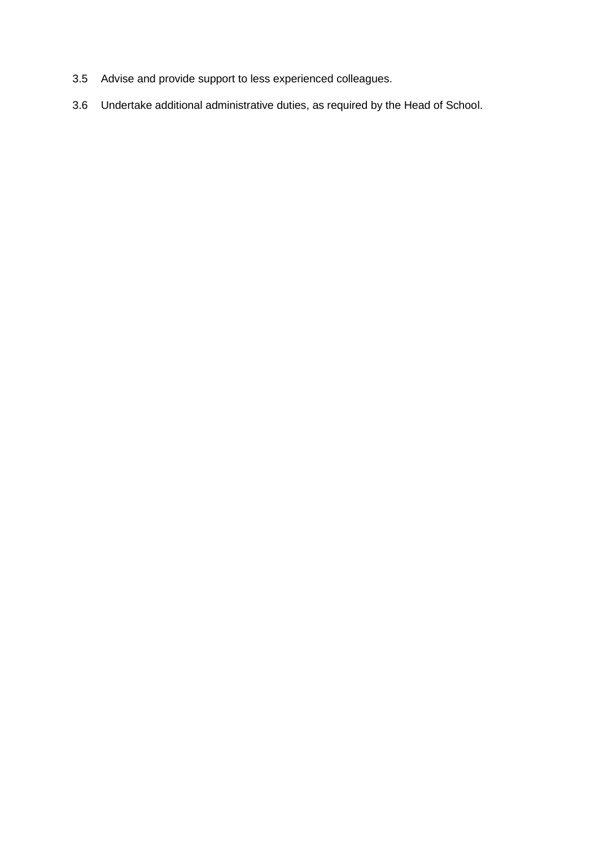- 3.5 Advise and provide support to less experienced colleagues.
- 3.6 Undertake additional administrative duties, as required by the Head of School.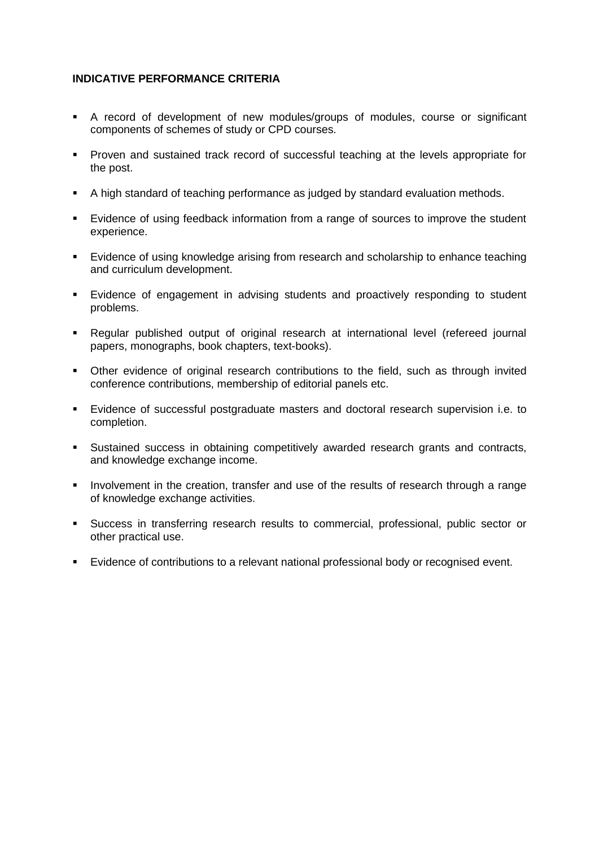# **INDICATIVE PERFORMANCE CRITERIA**

- A record of development of new modules/groups of modules, course or significant components of schemes of study or CPD courses.
- Proven and sustained track record of successful teaching at the levels appropriate for the post.
- A high standard of teaching performance as judged by standard evaluation methods.
- Evidence of using feedback information from a range of sources to improve the student experience.
- Evidence of using knowledge arising from research and scholarship to enhance teaching and curriculum development.
- Evidence of engagement in advising students and proactively responding to student problems.
- Regular published output of original research at international level (refereed journal papers, monographs, book chapters, text-books).
- Other evidence of original research contributions to the field, such as through invited conference contributions, membership of editorial panels etc.
- Evidence of successful postgraduate masters and doctoral research supervision i.e. to completion.
- Sustained success in obtaining competitively awarded research grants and contracts, and knowledge exchange income.
- **EXED** Involvement in the creation, transfer and use of the results of research through a range of knowledge exchange activities.
- Success in transferring research results to commercial, professional, public sector or other practical use.
- Evidence of contributions to a relevant national professional body or recognised event.